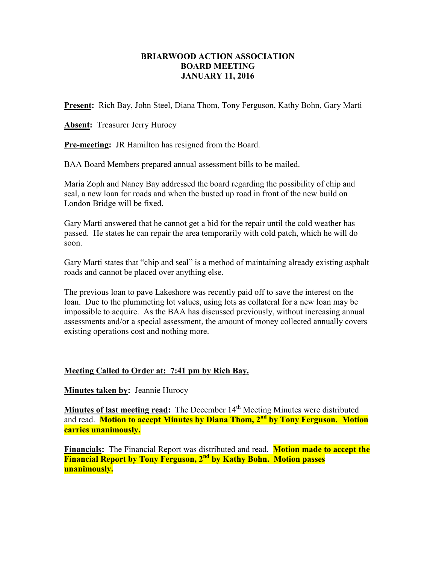## **BRIARWOOD ACTION ASSOCIATION BOARD MEETING JANUARY 11, 2016**

**Present:** Rich Bay, John Steel, Diana Thom, Tony Ferguson, Kathy Bohn, Gary Marti

Absent: Treasurer Jerry Hurocy

**Pre-meeting:** JR Hamilton has resigned from the Board.

BAA Board Members prepared annual assessment bills to be mailed.

Maria Zoph and Nancy Bay addressed the board regarding the possibility of chip and seal, a new loan for roads and when the busted up road in front of the new build on London Bridge will be fixed.

Gary Marti answered that he cannot get a bid for the repair until the cold weather has passed. He states he can repair the area temporarily with cold patch, which he will do soon.

Gary Marti states that "chip and seal" is a method of maintaining already existing asphalt roads and cannot be placed over anything else.

The previous loan to pave Lakeshore was recently paid off to save the interest on the loan. Due to the plummeting lot values, using lots as collateral for a new loan may be impossible to acquire. As the BAA has discussed previously, without increasing annual assessments and/or a special assessment, the amount of money collected annually covers existing operations cost and nothing more.

## **Meeting Called to Order at: 7:41 pm by Rich Bay.**

**Minutes taken by: Jeannie Hurocy** 

**Minutes of last meeting read:** The December 14<sup>th</sup> Meeting Minutes were distributed and read. **Motion to accept Minutes by Diana Thom, 2nd by Tony Ferguson. Motion carries unanimously.**

**Financials:** The Financial Report was distributed and read. **Motion made to accept the Financial Report by Tony Ferguson, 2nd by Kathy Bohn. Motion passes unanimously.**